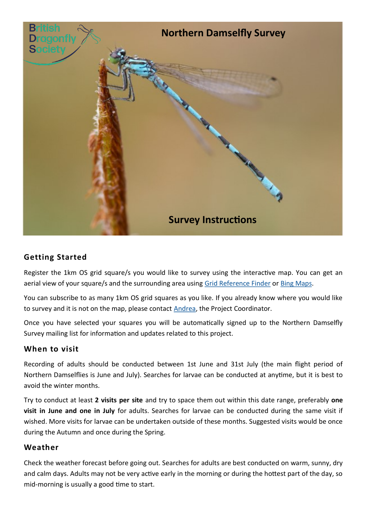

# **Getting Started**

Register the 1km OS grid square/s you would like to survey using the interactive map. You can get an aerial view of your square/s and the surrounding area using [Grid Reference Finder](https://gridreferencefinder.com/) or [Bing Maps.](https://www.bing.com/maps)

You can subscribe to as many 1km OS grid squares as you like. If you already know where you would like to survey and it is not on the map, please contact [Andrea,](mailto:andrea.hudspeth@british-dragonflies.org.uk) the Project Coordinator.

Once you have selected your squares you will be automatically signed up to the Northern Damselfly Survey mailing list for information and updates related to this project.

## **When to visit**

Recording of adults should be conducted between 1st June and 31st July (the main flight period of Northern Damselflies is June and July). Searches for larvae can be conducted at anytime, but it is best to avoid the winter months.

Try to conduct at least **2 visits per site** and try to space them out within this date range, preferably **one visit in June and one in July** for adults. Searches for larvae can be conducted during the same visit if wished. More visits for larvae can be undertaken outside of these months. Suggested visits would be once during the Autumn and once during the Spring.

## **Weather**

Check the weather forecast before going out. Searches for adults are best conducted on warm, sunny, dry and calm days. Adults may not be very active early in the morning or during the hottest part of the day, so mid-morning is usually a good time to start.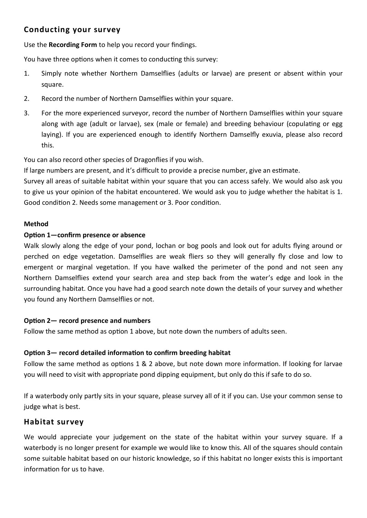# **Conducting your survey**

Use the **Recording Form** to help you record your findings.

You have three options when it comes to conducting this survey:

- 1. Simply note whether Northern Damselflies (adults or larvae) are present or absent within your square.
- 2. Record the number of Northern Damselflies within your square.
- 3. For the more experienced surveyor, record the number of Northern Damselflies within your square along with age (adult or larvae), sex (male or female) and breeding behaviour (copulating or egg laying). If you are experienced enough to identify Northern Damselfly exuvia, please also record this.

You can also record other species of Dragonflies if you wish.

If large numbers are present, and it's difficult to provide a precise number, give an estimate.

Survey all areas of suitable habitat within your square that you can access safely. We would also ask you to give us your opinion of the habitat encountered. We would ask you to judge whether the habitat is 1. Good condition 2. Needs some management or 3. Poor condition.

### **Method**

### **Option 1—confirm presence or absence**

Walk slowly along the edge of your pond, lochan or bog pools and look out for adults flying around or perched on edge vegetation. Damselflies are weak fliers so they will generally fly close and low to emergent or marginal vegetation. If you have walked the perimeter of the pond and not seen any Northern Damselflies extend your search area and step back from the water's edge and look in the surrounding habitat. Once you have had a good search note down the details of your survey and whether you found any Northern Damselflies or not.

#### **Option 2— record presence and numbers**

Follow the same method as option 1 above, but note down the numbers of adults seen.

## **Option 3— record detailed information to confirm breeding habitat**

Follow the same method as options 1 & 2 above, but note down more information. If looking for larvae you will need to visit with appropriate pond dipping equipment, but only do this if safe to do so.

If a waterbody only partly sits in your square, please survey all of it if you can. Use your common sense to judge what is best.

## **Habitat survey**

We would appreciate your judgement on the state of the habitat within your survey square. If a waterbody is no longer present for example we would like to know this. All of the squares should contain some suitable habitat based on our historic knowledge, so if this habitat no longer exists this is important information for us to have.